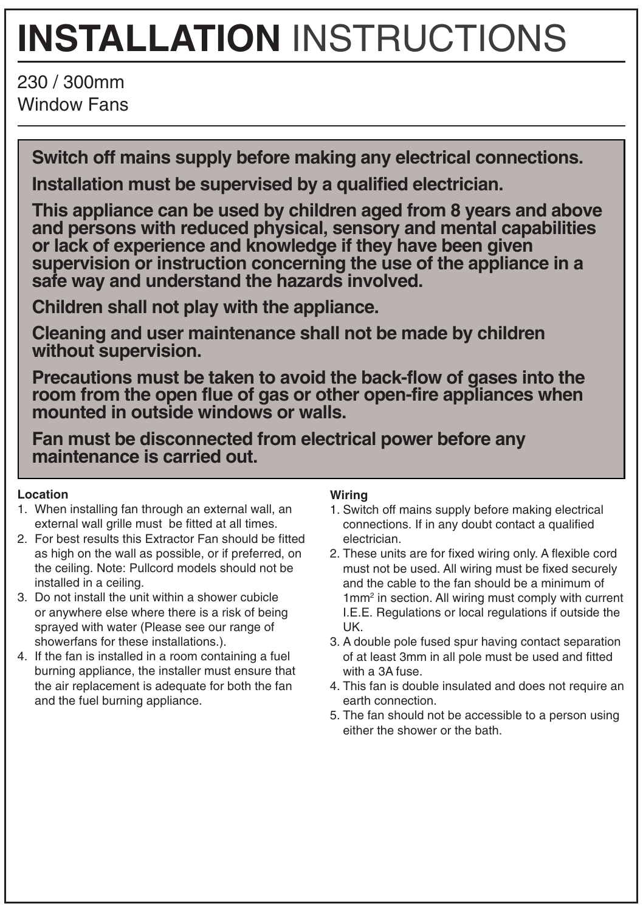# **INSTALLATION** INSTRUCTIONS

230 / 300mm Window Fans

**Switch off mains supply before making any electrical connections.**

**Installation must be supervised by a qualified electrician.** 

**This appliance can be used by children aged from 8 years and above and persons with reduced physical, sensory and mental capabilities or lack of experience and knowledge if they have been given supervision or instruction concerning the use of the appliance in a safe way and understand the hazards involved.** 

**Children shall not play with the appliance.** 

**Cleaning and user maintenance shall not be made by children without supervision.**

**Precautions must be taken to avoid the back-flow of gases into the room from the open flue of gas or other open-fire appliances when mounted in outside windows or walls.**

**Fan must be disconnected from electrical power before any maintenance is carried out.**

### **Location**

- 1. When installing fan through an external wall, an external wall grille must be fitted at all times.
- 2. For best results this Extractor Fan should be fitted as high on the wall as possible, or if preferred, on the ceiling. Note: Pullcord models should not be installed in a ceiling.
- 3. Do not install the unit within a shower cubicle or anywhere else where there is a risk of being sprayed with water (Please see our range of showerfans for these installations.).
- 4. If the fan is installed in a room containing a fuel burning appliance, the installer must ensure that the air replacement is adequate for both the fan and the fuel burning appliance.

#### **Wiring**

- 1. Switch off mains supply before making electrical connections. If in any doubt contact a qualified electrician.
- 2. These units are for fixed wiring only. A flexible cord must not be used. All wiring must be fixed securely and the cable to the fan should be a minimum of 1mm2 in section. All wiring must comply with current I.E.E. Regulations or local regulations if outside the UK.
- 3. A double pole fused spur having contact separation of at least 3mm in all pole must be used and fitted with a 3A fuse.
- 4. This fan is double insulated and does not require an earth connection.
- 5. The fan should not be accessible to a person using either the shower or the bath.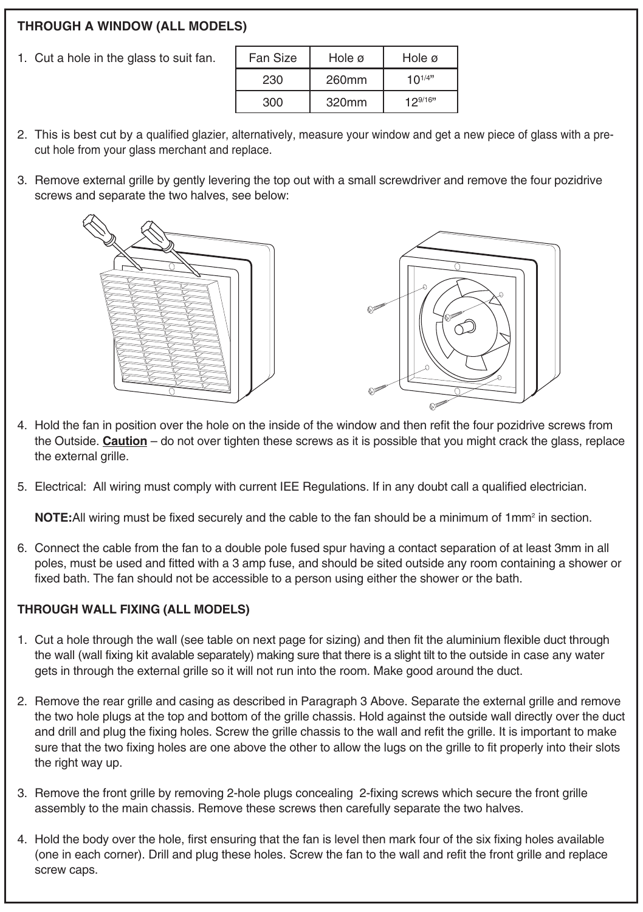## **THROUGH A WINDOW (ALL MODELS)**

1. Cut a hole in the glass to suit fan.

| <b>Fan Size</b> | Hole $\alpha$ | Hole ø       |
|-----------------|---------------|--------------|
| 230             | 260mm         | $10^{1/4"}$  |
| 300             | 320mm         | $12^{9/16"}$ |

- 2. This is best cut by a qualified glazier, alternatively, measure your window and get a new piece of glass with a precut hole from your glass merchant and replace.
- 3. Remove external grille by gently levering the top out with a small screwdriver and remove the four pozidrive screws and separate the two halves, see below:



- 4. Hold the fan in position over the hole on the inside of the window and then refit the four pozidrive screws from the Outside. **Caution** – do not over tighten these screws as it is possible that you might crack the glass, replace the external grille.
- 5. Electrical: All wiring must comply with current IEE Regulations. If in any doubt call a qualified electrician.

**NOTE:**All wiring must be fixed securely and the cable to the fan should be a minimum of 1mm<sup>2</sup> in section.

6. Connect the cable from the fan to a double pole fused spur having a contact separation of at least 3mm in all poles, must be used and fitted with a 3 amp fuse, and should be sited outside any room containing a shower or fixed bath. The fan should not be accessible to a person using either the shower or the bath.

#### **THROUGH WALL FIXING (ALL MODELS)**

- 1. Cut a hole through the wall (see table on next page for sizing) and then fit the aluminium flexible duct through the wall (wall fixing kit avalable separately) making sure that there is a slight tilt to the outside in case any water gets in through the external grille so it will not run into the room. Make good around the duct.
- 2. Remove the rear grille and casing as described in Paragraph 3 Above. Separate the external grille and remove the two hole plugs at the top and bottom of the grille chassis. Hold against the outside wall directly over the duct and drill and plug the fixing holes. Screw the grille chassis to the wall and refit the grille. It is important to make sure that the two fixing holes are one above the other to allow the lugs on the grille to fit properly into their slots the right way up.
- 3. Remove the front grille by removing 2-hole plugs concealing 2-fixing screws which secure the front grille assembly to the main chassis. Remove these screws then carefully separate the two halves.
- 4. Hold the body over the hole, first ensuring that the fan is level then mark four of the six fixing holes available (one in each corner). Drill and plug these holes. Screw the fan to the wall and refit the front grille and replace screw caps.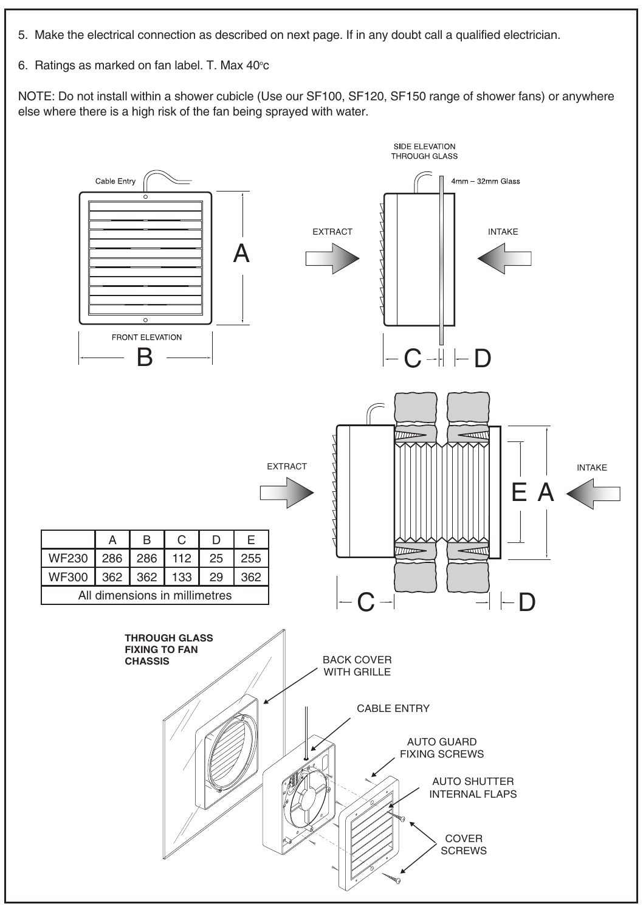- 5. Make the electrical connection as described on next page. If in any doubt call a qualified electrician.
- 6. Ratings as marked on fan label. T. Max 40 $^{\circ}$ c

NOTE: Do not install within a shower cubicle (Use our SF100, SF120, SF150 range of shower fans) or anywhere else where there is a high risk of the fan being sprayed with water.